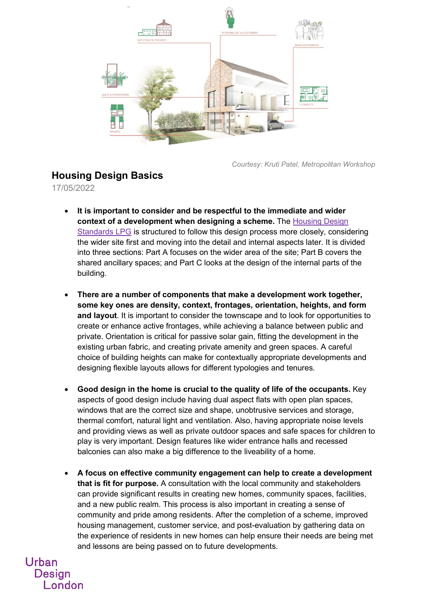

*Courtesy: Kruti Patel, Metropolitan Workshop*

## **Housing Design Basics**

17/05/2022

Urban

**Design** 

London

- **It is important to consider and be respectful to the immediate and wider context of a development when designing a scheme.** The [Housing Design](https://www.london.gov.uk/sites/default/files/housing_design_standards_lpg_-_publish_for_consultation_1.pdf)  [Standards LPG](https://www.london.gov.uk/sites/default/files/housing_design_standards_lpg_-_publish_for_consultation_1.pdf) is structured to follow this design process more closely, considering the wider site first and moving into the detail and internal aspects later. It is divided into three sections: Part A focuses on the wider area of the site; Part B covers the shared ancillary spaces; and Part C looks at the design of the internal parts of the building.
- **There are a number of components that make a development work together, some key ones are density, context, frontages, orientation, heights, and form and layout**. It is important to consider the townscape and to look for opportunities to create or enhance active frontages, while achieving a balance between public and private. Orientation is critical for passive solar gain, fitting the development in the existing urban fabric, and creating private amenity and green spaces. A careful choice of building heights can make for contextually appropriate developments and designing flexible layouts allows for different typologies and tenures.
- **Good design in the home is crucial to the quality of life of the occupants.** Key aspects of good design include having dual aspect flats with open plan spaces, windows that are the correct size and shape, unobtrusive services and storage, thermal comfort, natural light and ventilation. Also, having appropriate noise levels and providing views as well as private outdoor spaces and safe spaces for children to play is very important. Design features like wider entrance halls and recessed balconies can also make a big difference to the liveability of a home.
- **A focus on effective community engagement can help to create a development that is fit for purpose.** A consultation with the local community and stakeholders can provide significant results in creating new homes, community spaces, facilities, and a new public realm. This process is also important in creating a sense of community and pride among residents. After the completion of a scheme, improved housing management, customer service, and post-evaluation by gathering data on the experience of residents in new homes can help ensure their needs are being met and lessons are being passed on to future developments.